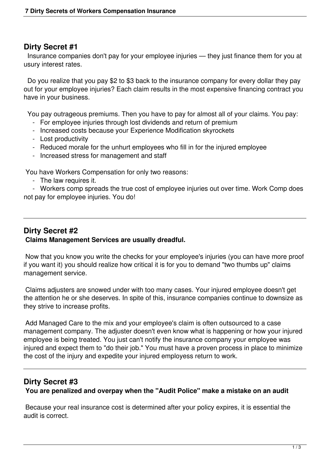### **Dirty Secret #1**

 Insurance companies don't pay for your employee injuries — they just finance them for you at usury interest rates.

 Do you realize that you pay \$2 to \$3 back to the insurance company for every dollar they pay out for your employee injuries? Each claim results in the most expensive financing contract you have in your business.

You pay outrageous premiums. Then you have to pay for almost all of your claims. You pay:

- For employee injuries through lost dividends and return of premium
- Increased costs because your Experience Modification skyrockets
- Lost productivity
- Reduced morale for the unhurt employees who fill in for the injured employee
- Increased stress for management and staff

You have Workers Compensation for only two reasons:

- The law requires it.

 - Workers comp spreads the true cost of employee injuries out over time. Work Comp does not pay for employee injuries. You do!

# **Dirty Secret #2 Claims Management Services are usually dreadful.**

 Now that you know you write the checks for your employee's injuries (you can have more proof if you want it) you should realize how critical it is for you to demand "two thumbs up" claims management service.

 Claims adjusters are snowed under with too many cases. Your injured employee doesn't get the attention he or she deserves. In spite of this, insurance companies continue to downsize as they strive to increase profits.

 Add Managed Care to the mix and your employee's claim is often outsourced to a case management company. The adjuster doesn't even know what is happening or how your injured employee is being treated. You just can't notify the insurance company your employee was injured and expect them to "do their job." You must have a proven process in place to minimize the cost of the injury and expedite your injured employess return to work.

#### **Dirty Secret #3**

**You are penalized and overpay when the "Audit Police" make a mistake on an audit**

 Because your real insurance cost is determined after your policy expires, it is essential the audit is correct.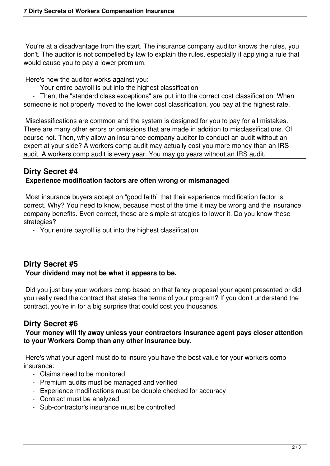You're at a disadvantage from the start. The insurance company auditor knows the rules, you don't. The auditor is not compelled by law to explain the rules, especially if applying a rule that would cause you to pay a lower premium.

Here's how the auditor works against you:

- Your entire payroll is put into the highest classification

 - Then, the "standard class exceptions" are put into the correct cost classification. When someone is not properly moved to the lower cost classification, you pay at the highest rate.

 Misclassifications are common and the system is designed for you to pay for all mistakes. There are many other errors or omissions that are made in addition to misclassifications. Of course not. Then, why allow an insurance company auditor to conduct an audit without an expert at your side? A workers comp audit may actually cost you more money than an IRS audit. A workers comp audit is every year. You may go years without an IRS audit.

#### **Dirty Secret #4 Experience modification factors are often wrong or mismanaged**

 Most insurance buyers accept on "good faith" that their experience modification factor is correct. Why? You need to know, because most of the time it may be wrong and the insurance company benefits. Even correct, these are simple strategies to lower it. Do you know these strategies?

- Your entire payroll is put into the highest classification

# **Dirty Secret #5**

#### **Your dividend may not be what it appears to be.**

 Did you just buy your workers comp based on that fancy proposal your agent presented or did you really read the contract that states the terms of your program? If you don't understand the contract, you're in for a big surprise that could cost you thousands.

# **Dirty Secret #6**

#### **Your money will fly away unless your contractors insurance agent pays closer attention to your Workers Comp than any other insurance buy.**

 Here's what your agent must do to insure you have the best value for your workers comp insurance:

- Claims need to be monitored
- Premium audits must be managed and verified
- Experience modifications must be double checked for accuracy
- Contract must be analyzed
- Sub-contractor's insurance must be controlled